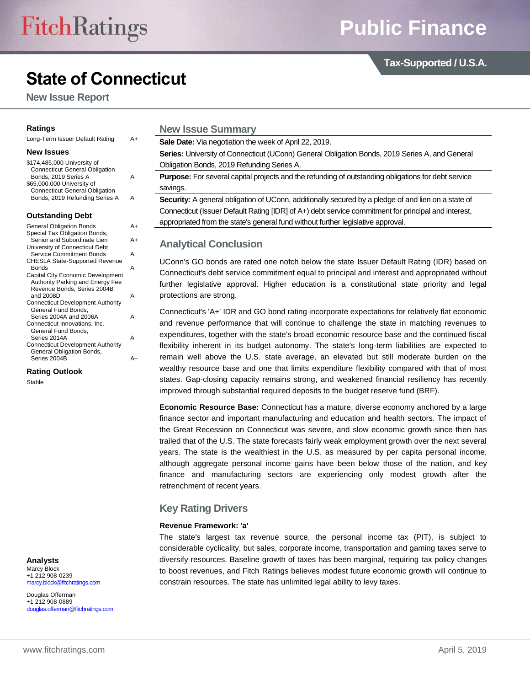**Tax-Supported / U.S.A.**

# **State of Connecticut**

**New Issue Report**

#### **Ratings**

| Long-Term Issuer Default Rating | A+ |
|---------------------------------|----|
|---------------------------------|----|

## **New Issues**

| \$174,485,000 University of           |   |
|---------------------------------------|---|
| <b>Connecticut General Obligation</b> |   |
| Bonds, 2019 Series A                  | А |
| \$65,000,000 University of            |   |
| <b>Connecticut General Obligation</b> |   |
| Bonds, 2019 Refunding Series A        | Δ |
|                                       |   |

#### **Outstanding Debt**

| <b>General Obligation Bonds</b>          | A+ |
|------------------------------------------|----|
| Special Tax Obligation Bonds,            |    |
| Senior and Subordinate Lien              | A+ |
| University of Connecticut Debt           |    |
| <b>Service Commitment Bonds</b>          | А  |
| <b>CHESLA State-Supported Revenue</b>    |    |
| <b>Bonds</b>                             | А  |
| Capital City Economic Development        |    |
| Authority Parking and Energy Fee         |    |
| Revenue Bonds, Series 2004B              |    |
| and 2008D                                | А  |
| <b>Connecticut Development Authority</b> |    |
| General Fund Bonds,                      |    |
| Series 2004A and 2006A                   | А  |
| Connecticut Innovations, Inc.            |    |
| General Fund Bonds,                      |    |
| Series 2014A                             | А  |
| <b>Connecticut Development Authority</b> |    |
| General Obligation Bonds,                |    |
| Series 2004B                             |    |

**Rating Outlook**

Stable

**Analysts** Marcy Block +1 212 908-0239 [marcy.block@fitchratings.com](mailto:marcy.block@fitchratings.com)

Douglas Offerman +1 212 908-0889 [douglas.offerman@fitchratings.com](mailto:douglas.offerman@fitchratings.com)

| <b>New Issue Summary</b>                                                                                   |
|------------------------------------------------------------------------------------------------------------|
| Sale Date: Via negotiation the week of April 22, 2019.                                                     |
| Series: University of Connecticut (UConn) General Obligation Bonds, 2019 Series A, and General             |
| Obligation Bonds, 2019 Refunding Series A.                                                                 |
| <b>Purpose:</b> For several capital projects and the refunding of outstanding obligations for debt service |
| savings.                                                                                                   |
| Security: A general obligation of UConn, additionally secured by a pledge of and lien on a state of        |
| Connecticut (Issuer Default Rating [IDR] of A+) debt service commitment for principal and interest,        |

appropriated from the state's general fund without further legislative approval.

# **Analytical Conclusion**

UConn's GO bonds are rated one notch below the state Issuer Default Rating (IDR) based on Connecticut's debt service commitment equal to principal and interest and appropriated without further legislative approval. Higher education is a constitutional state priority and legal protections are strong.

Connecticut's 'A+' IDR and GO bond rating incorporate expectations for relatively flat economic and revenue performance that will continue to challenge the state in matching revenues to expenditures, together with the state's broad economic resource base and the continued fiscal flexibility inherent in its budget autonomy. The state's long-term liabilities are expected to remain well above the U.S. state average, an elevated but still moderate burden on the wealthy resource base and one that limits expenditure flexibility compared with that of most states. Gap-closing capacity remains strong, and weakened financial resiliency has recently improved through substantial required deposits to the budget reserve fund (BRF).

**Economic Resource Base:** Connecticut has a mature, diverse economy anchored by a large finance sector and important manufacturing and education and health sectors. The impact of the Great Recession on Connecticut was severe, and slow economic growth since then has trailed that of the U.S. The state forecasts fairly weak employment growth over the next several years. The state is the wealthiest in the U.S. as measured by per capita personal income, although aggregate personal income gains have been below those of the nation, and key finance and manufacturing sectors are experiencing only modest growth after the retrenchment of recent years.

# **Key Rating Drivers**

#### **Revenue Framework: 'a'**

The state's largest tax revenue source, the personal income tax (PIT), is subject to considerable cyclicality, but sales, corporate income, transportation and gaming taxes serve to diversify resources. Baseline growth of taxes has been marginal, requiring tax policy changes to boost revenues, and Fitch Ratings believes modest future economic growth will continue to constrain resources. The state has unlimited legal ability to levy taxes.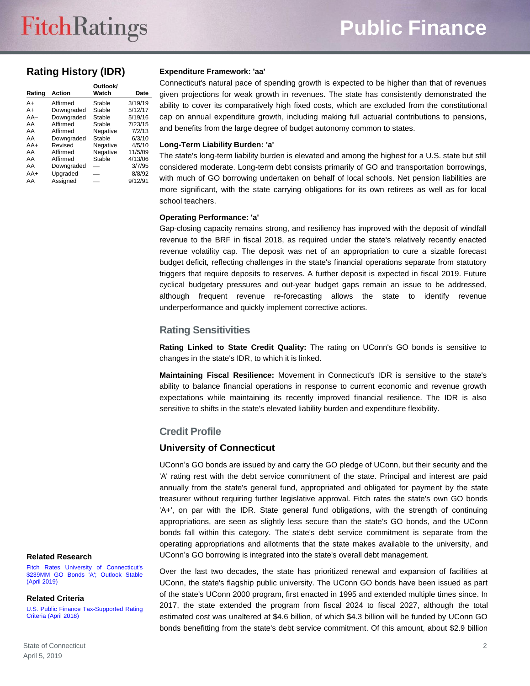# **Rating History (IDR)**

| Rating | <b>Action</b> | Outlook/<br>Watch | Date    |
|--------|---------------|-------------------|---------|
| A+     | Affirmed      | Stable            | 3/19/19 |
|        |               |                   |         |
| $A+$   | Downgraded    | Stable            | 5/12/17 |
| $AA-$  | Downgraded    | Stable            | 5/19/16 |
| AA     | Affirmed      | Stable            | 7/23/15 |
| AA     | Affirmed      | Negative          | 7/2/13  |
| AA     | Downgraded    | Stable            | 6/3/10  |
| $AA+$  | Revised       | Negative          | 4/5/10  |
| AA     | Affirmed      | Negative          | 11/5/09 |
| AA     | Affirmed      | Stable            | 4/13/06 |
| AA     | Downgraded    |                   | 3/7/95  |
| $AA+$  | Upgraded      |                   | 8/8/92  |
| AA     | Assigned      |                   | 9/12/91 |
|        |               |                   |         |

#### **Expenditure Framework: 'aa'**

Connecticut's natural pace of spending growth is expected to be higher than that of revenues given projections for weak growth in revenues. The state has consistently demonstrated the ability to cover its comparatively high fixed costs, which are excluded from the constitutional cap on annual expenditure growth, including making full actuarial contributions to pensions, and benefits from the large degree of budget autonomy common to states.

#### **Long-Term Liability Burden: 'a'**

The state's long-term liability burden is elevated and among the highest for a U.S. state but still considered moderate. Long-term debt consists primarily of GO and transportation borrowings, with much of GO borrowing undertaken on behalf of local schools. Net pension liabilities are more significant, with the state carrying obligations for its own retirees as well as for local school teachers.

#### **Operating Performance: 'a'**

Gap-closing capacity remains strong, and resiliency has improved with the deposit of windfall revenue to the BRF in fiscal 2018, as required under the state's relatively recently enacted revenue volatility cap. The deposit was net of an appropriation to cure a sizable forecast budget deficit, reflecting challenges in the state's financial operations separate from statutory triggers that require deposits to reserves. A further deposit is expected in fiscal 2019. Future cyclical budgetary pressures and out-year budget gaps remain an issue to be addressed, although frequent revenue re-forecasting allows the state to identify revenue underperformance and quickly implement corrective actions.

#### **Rating Sensitivities**

**Rating Linked to State Credit Quality:** The rating on UConn's GO bonds is sensitive to changes in the state's IDR, to which it is linked.

**Maintaining Fiscal Resilience:** Movement in Connecticut's IDR is sensitive to the state's ability to balance financial operations in response to current economic and revenue growth expectations while maintaining its recently improved financial resilience. The IDR is also sensitive to shifts in the state's elevated liability burden and expenditure flexibility.

#### **Credit Profile**

#### **University of Connecticut**

UConn's GO bonds are issued by and carry the GO pledge of UConn, but their security and the 'A' rating rest with the debt service commitment of the state. Principal and interest are paid annually from the state's general fund, appropriated and obligated for payment by the state treasurer without requiring further legislative approval. Fitch rates the state's own GO bonds 'A+', on par with the IDR. State general fund obligations, with the strength of continuing appropriations, are seen as slightly less secure than the state's GO bonds, and the UConn bonds fall within this category. The state's debt service commitment is separate from the operating appropriations and allotments that the state makes available to the university, and UConn's GO borrowing is integrated into the state's overall debt management.

Over the last two decades, the state has prioritized renewal and expansion of facilities at UConn, the state's flagship public university. The UConn GO bonds have been issued as part of the state's UConn 2000 program, first enacted in 1995 and extended multiple times since. In 2017, the state extended the program from fiscal 2024 to fiscal 2027, although the total estimated cost was unaltered at \$4.6 billion, of which \$4.3 billion will be funded by UConn GO bonds benefitting from the state's debt service commitment. Of this amount, about \$2.9 billion

#### **Related Research**

[Fitch Rates University of Connecticut's](http://api.fitchconnect.com/v1/research/FR_PR_10067522)  [\\$239MM GO Bonds 'A';](http://api.fitchconnect.com/v1/research/FR_PR_10067522) Outlook Stable [\(April 2019\)](http://api.fitchconnect.com/v1/research/FR_PR_10067522)

#### **Related Criteria**

[U.S. Public Finance Tax-Supported Rating](http://api.fitchconnect.com/v1/research/FR_RPT_919253)  [Criteria \(April 2018\)](http://api.fitchconnect.com/v1/research/FR_RPT_919253)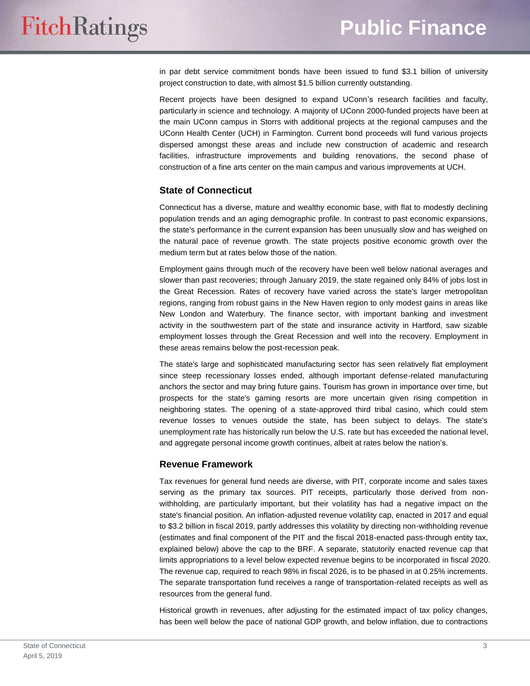in par debt service commitment bonds have been issued to fund \$3.1 billion of university project construction to date, with almost \$1.5 billion currently outstanding.

Recent projects have been designed to expand UConn's research facilities and faculty, particularly in science and technology. A majority of UConn 2000-funded projects have been at the main UConn campus in Storrs with additional projects at the regional campuses and the UConn Health Center (UCH) in Farmington. Current bond proceeds will fund various projects dispersed amongst these areas and include new construction of academic and research facilities, infrastructure improvements and building renovations, the second phase of construction of a fine arts center on the main campus and various improvements at UCH.

# **State of Connecticut**

Connecticut has a diverse, mature and wealthy economic base, with flat to modestly declining population trends and an aging demographic profile. In contrast to past economic expansions, the state's performance in the current expansion has been unusually slow and has weighed on the natural pace of revenue growth. The state projects positive economic growth over the medium term but at rates below those of the nation.

Employment gains through much of the recovery have been well below national averages and slower than past recoveries; through January 2019, the state regained only 84% of jobs lost in the Great Recession. Rates of recovery have varied across the state's larger metropolitan regions, ranging from robust gains in the New Haven region to only modest gains in areas like New London and Waterbury. The finance sector, with important banking and investment activity in the southwestern part of the state and insurance activity in Hartford, saw sizable employment losses through the Great Recession and well into the recovery. Employment in these areas remains below the post-recession peak.

The state's large and sophisticated manufacturing sector has seen relatively flat employment since steep recessionary losses ended, although important defense-related manufacturing anchors the sector and may bring future gains. Tourism has grown in importance over time, but prospects for the state's gaming resorts are more uncertain given rising competition in neighboring states. The opening of a state-approved third tribal casino, which could stem revenue losses to venues outside the state, has been subject to delays. The state's unemployment rate has historically run below the U.S. rate but has exceeded the national level, and aggregate personal income growth continues, albeit at rates below the nation's.

#### **Revenue Framework**

Tax revenues for general fund needs are diverse, with PIT, corporate income and sales taxes serving as the primary tax sources. PIT receipts, particularly those derived from nonwithholding, are particularly important, but their volatility has had a negative impact on the state's financial position. An inflation-adjusted revenue volatility cap, enacted in 2017 and equal to \$3.2 billion in fiscal 2019, partly addresses this volatility by directing non-withholding revenue (estimates and final component of the PIT and the fiscal 2018-enacted pass-through entity tax, explained below) above the cap to the BRF. A separate, statutorily enacted revenue cap that limits appropriations to a level below expected revenue begins to be incorporated in fiscal 2020. The revenue cap, required to reach 98% in fiscal 2026, is to be phased in at 0.25% increments. The separate transportation fund receives a range of transportation-related receipts as well as resources from the general fund.

Historical growth in revenues, after adjusting for the estimated impact of tax policy changes, has been well below the pace of national GDP growth, and below inflation, due to contractions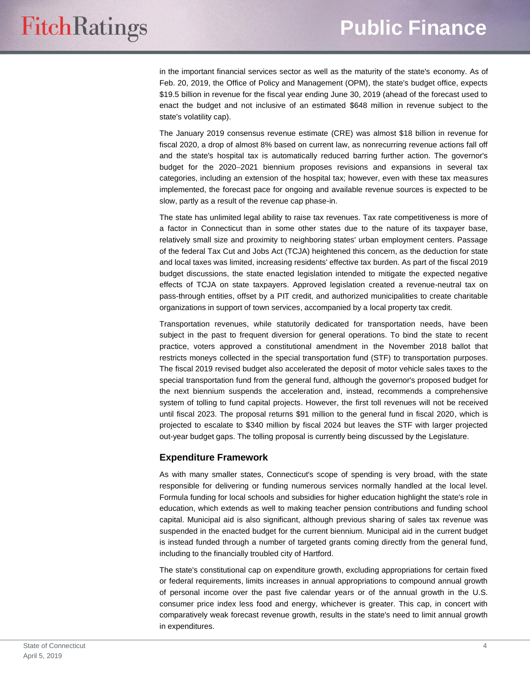in the important financial services sector as well as the maturity of the state's economy. As of Feb. 20, 2019, the Office of Policy and Management (OPM), the state's budget office, expects \$19.5 billion in revenue for the fiscal year ending June 30, 2019 (ahead of the forecast used to enact the budget and not inclusive of an estimated \$648 million in revenue subject to the state's volatility cap).

The January 2019 consensus revenue estimate (CRE) was almost \$18 billion in revenue for fiscal 2020, a drop of almost 8% based on current law, as nonrecurring revenue actions fall off and the state's hospital tax is automatically reduced barring further action. The governor's budget for the 2020–2021 biennium proposes revisions and expansions in several tax categories, including an extension of the hospital tax; however, even with these tax measures implemented, the forecast pace for ongoing and available revenue sources is expected to be slow, partly as a result of the revenue cap phase-in.

The state has unlimited legal ability to raise tax revenues. Tax rate competitiveness is more of a factor in Connecticut than in some other states due to the nature of its taxpayer base, relatively small size and proximity to neighboring states' urban employment centers. Passage of the federal Tax Cut and Jobs Act (TCJA) heightened this concern, as the deduction for state and local taxes was limited, increasing residents' effective tax burden. As part of the fiscal 2019 budget discussions, the state enacted legislation intended to mitigate the expected negative effects of TCJA on state taxpayers. Approved legislation created a revenue-neutral tax on pass-through entities, offset by a PIT credit, and authorized municipalities to create charitable organizations in support of town services, accompanied by a local property tax credit.

Transportation revenues, while statutorily dedicated for transportation needs, have been subject in the past to frequent diversion for general operations. To bind the state to recent practice, voters approved a constitutional amendment in the November 2018 ballot that restricts moneys collected in the special transportation fund (STF) to transportation purposes. The fiscal 2019 revised budget also accelerated the deposit of motor vehicle sales taxes to the special transportation fund from the general fund, although the governor's proposed budget for the next biennium suspends the acceleration and, instead, recommends a comprehensive system of tolling to fund capital projects. However, the first toll revenues will not be received until fiscal 2023. The proposal returns \$91 million to the general fund in fiscal 2020, which is projected to escalate to \$340 million by fiscal 2024 but leaves the STF with larger projected out-year budget gaps. The tolling proposal is currently being discussed by the Legislature.

# **Expenditure Framework**

As with many smaller states, Connecticut's scope of spending is very broad, with the state responsible for delivering or funding numerous services normally handled at the local level. Formula funding for local schools and subsidies for higher education highlight the state's role in education, which extends as well to making teacher pension contributions and funding school capital. Municipal aid is also significant, although previous sharing of sales tax revenue was suspended in the enacted budget for the current biennium. Municipal aid in the current budget is instead funded through a number of targeted grants coming directly from the general fund, including to the financially troubled city of Hartford.

The state's constitutional cap on expenditure growth, excluding appropriations for certain fixed or federal requirements, limits increases in annual appropriations to compound annual growth of personal income over the past five calendar years or of the annual growth in the U.S. consumer price index less food and energy, whichever is greater. This cap, in concert with comparatively weak forecast revenue growth, results in the state's need to limit annual growth in expenditures.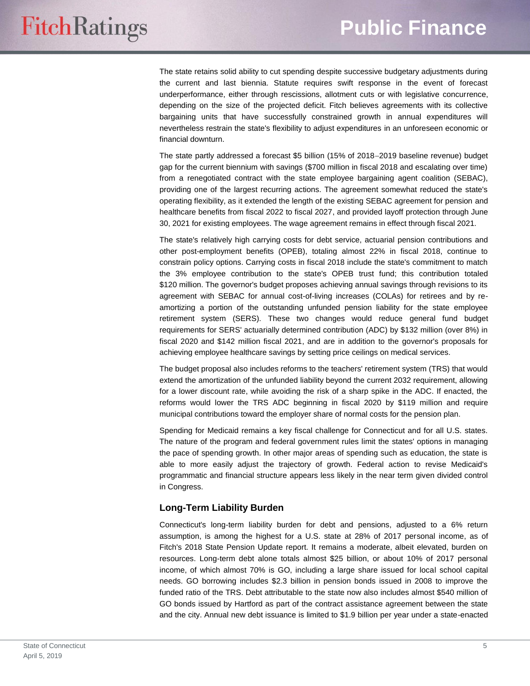The state retains solid ability to cut spending despite successive budgetary adjustments during the current and last biennia. Statute requires swift response in the event of forecast underperformance, either through rescissions, allotment cuts or with legislative concurrence, depending on the size of the projected deficit. Fitch believes agreements with its collective bargaining units that have successfully constrained growth in annual expenditures will nevertheless restrain the state's flexibility to adjust expenditures in an unforeseen economic or financial downturn.

The state partly addressed a forecast \$5 billion (15% of 2018–2019 baseline revenue) budget gap for the current biennium with savings (\$700 million in fiscal 2018 and escalating over time) from a renegotiated contract with the state employee bargaining agent coalition (SEBAC), providing one of the largest recurring actions. The agreement somewhat reduced the state's operating flexibility, as it extended the length of the existing SEBAC agreement for pension and healthcare benefits from fiscal 2022 to fiscal 2027, and provided layoff protection through June 30, 2021 for existing employees. The wage agreement remains in effect through fiscal 2021.

The state's relatively high carrying costs for debt service, actuarial pension contributions and other post-employment benefits (OPEB), totaling almost 22% in fiscal 2018, continue to constrain policy options. Carrying costs in fiscal 2018 include the state's commitment to match the 3% employee contribution to the state's OPEB trust fund; this contribution totaled \$120 million. The governor's budget proposes achieving annual savings through revisions to its agreement with SEBAC for annual cost-of-living increases (COLAs) for retirees and by reamortizing a portion of the outstanding unfunded pension liability for the state employee retirement system (SERS). These two changes would reduce general fund budget requirements for SERS' actuarially determined contribution (ADC) by \$132 million (over 8%) in fiscal 2020 and \$142 million fiscal 2021, and are in addition to the governor's proposals for achieving employee healthcare savings by setting price ceilings on medical services.

The budget proposal also includes reforms to the teachers' retirement system (TRS) that would extend the amortization of the unfunded liability beyond the current 2032 requirement, allowing for a lower discount rate, while avoiding the risk of a sharp spike in the ADC. If enacted, the reforms would lower the TRS ADC beginning in fiscal 2020 by \$119 million and require municipal contributions toward the employer share of normal costs for the pension plan.

Spending for Medicaid remains a key fiscal challenge for Connecticut and for all U.S. states. The nature of the program and federal government rules limit the states' options in managing the pace of spending growth. In other major areas of spending such as education, the state is able to more easily adjust the trajectory of growth. Federal action to revise Medicaid's programmatic and financial structure appears less likely in the near term given divided control in Congress.

# **Long-Term Liability Burden**

Connecticut's long-term liability burden for debt and pensions, adjusted to a 6% return assumption, is among the highest for a U.S. state at 28% of 2017 personal income, as of Fitch's 2018 State Pension Update report. It remains a moderate, albeit elevated, burden on resources. Long-term debt alone totals almost \$25 billion, or about 10% of 2017 personal income, of which almost 70% is GO, including a large share issued for local school capital needs. GO borrowing includes \$2.3 billion in pension bonds issued in 2008 to improve the funded ratio of the TRS. Debt attributable to the state now also includes almost \$540 million of GO bonds issued by Hartford as part of the contract assistance agreement between the state and the city. Annual new debt issuance is limited to \$1.9 billion per year under a state-enacted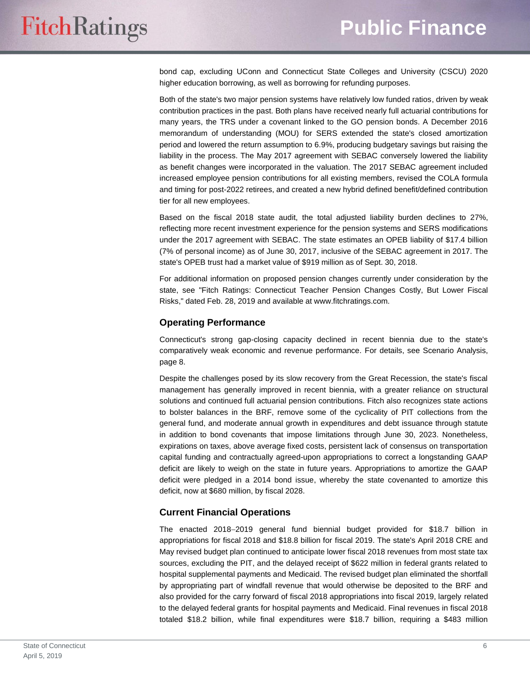bond cap, excluding UConn and Connecticut State Colleges and University (CSCU) 2020 higher education borrowing, as well as borrowing for refunding purposes.

Both of the state's two major pension systems have relatively low funded ratios, driven by weak contribution practices in the past. Both plans have received nearly full actuarial contributions for many years, the TRS under a covenant linked to the GO pension bonds. A December 2016 memorandum of understanding (MOU) for SERS extended the state's closed amortization period and lowered the return assumption to 6.9%, producing budgetary savings but raising the liability in the process. The May 2017 agreement with SEBAC conversely lowered the liability as benefit changes were incorporated in the valuation. The 2017 SEBAC agreement included increased employee pension contributions for all existing members, revised the COLA formula and timing for post-2022 retirees, and created a new hybrid defined benefit/defined contribution tier for all new employees.

Based on the fiscal 2018 state audit, the total adjusted liability burden declines to 27%, reflecting more recent investment experience for the pension systems and SERS modifications under the 2017 agreement with SEBAC. The state estimates an OPEB liability of \$17.4 billion (7% of personal income) as of June 30, 2017, inclusive of the SEBAC agreement in 2017. The state's OPEB trust had a market value of \$919 million as of Sept. 30, 2018.

For additional information on proposed pension changes currently under consideration by the state, see "Fitch Ratings: Connecticut Teacher Pension Changes Costly, But Lower Fiscal Risks," dated Feb. 28, 2019 and available at www.fitchratings.com.

## **Operating Performance**

Connecticut's strong gap-closing capacity declined in recent biennia due to the state's comparatively weak economic and revenue performance. For details, see Scenario Analysis, page 8.

Despite the challenges posed by its slow recovery from the Great Recession, the state's fiscal management has generally improved in recent biennia, with a greater reliance on structural solutions and continued full actuarial pension contributions. Fitch also recognizes state actions to bolster balances in the BRF, remove some of the cyclicality of PIT collections from the general fund, and moderate annual growth in expenditures and debt issuance through statute in addition to bond covenants that impose limitations through June 30, 2023. Nonetheless, expirations on taxes, above average fixed costs, persistent lack of consensus on transportation capital funding and contractually agreed-upon appropriations to correct a longstanding GAAP deficit are likely to weigh on the state in future years. Appropriations to amortize the GAAP deficit were pledged in a 2014 bond issue, whereby the state covenanted to amortize this deficit, now at \$680 million, by fiscal 2028.

# **Current Financial Operations**

The enacted 2018-2019 general fund biennial budget provided for \$18.7 billion in appropriations for fiscal 2018 and \$18.8 billion for fiscal 2019. The state's April 2018 CRE and May revised budget plan continued to anticipate lower fiscal 2018 revenues from most state tax sources, excluding the PIT, and the delayed receipt of \$622 million in federal grants related to hospital supplemental payments and Medicaid. The revised budget plan eliminated the shortfall by appropriating part of windfall revenue that would otherwise be deposited to the BRF and also provided for the carry forward of fiscal 2018 appropriations into fiscal 2019, largely related to the delayed federal grants for hospital payments and Medicaid. Final revenues in fiscal 2018 totaled \$18.2 billion, while final expenditures were \$18.7 billion, requiring a \$483 million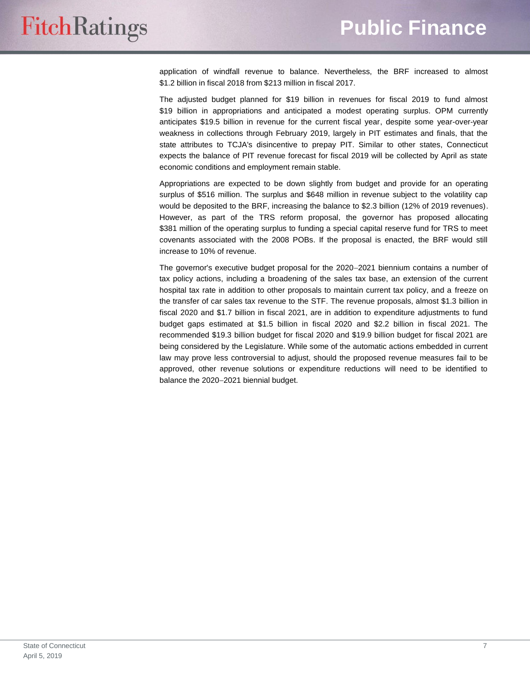application of windfall revenue to balance. Nevertheless, the BRF increased to almost \$1.2 billion in fiscal 2018 from \$213 million in fiscal 2017.

The adjusted budget planned for \$19 billion in revenues for fiscal 2019 to fund almost \$19 billion in appropriations and anticipated a modest operating surplus. OPM currently anticipates \$19.5 billion in revenue for the current fiscal year, despite some year-over-year weakness in collections through February 2019, largely in PIT estimates and finals, that the state attributes to TCJA's disincentive to prepay PIT. Similar to other states, Connecticut expects the balance of PIT revenue forecast for fiscal 2019 will be collected by April as state economic conditions and employment remain stable.

Appropriations are expected to be down slightly from budget and provide for an operating surplus of \$516 million. The surplus and \$648 million in revenue subject to the volatility cap would be deposited to the BRF, increasing the balance to \$2.3 billion (12% of 2019 revenues). However, as part of the TRS reform proposal, the governor has proposed allocating \$381 million of the operating surplus to funding a special capital reserve fund for TRS to meet covenants associated with the 2008 POBs. If the proposal is enacted, the BRF would still increase to 10% of revenue.

The governor's executive budget proposal for the 2020-2021 biennium contains a number of tax policy actions, including a broadening of the sales tax base, an extension of the current hospital tax rate in addition to other proposals to maintain current tax policy, and a freeze on the transfer of car sales tax revenue to the STF. The revenue proposals, almost \$1.3 billion in fiscal 2020 and \$1.7 billion in fiscal 2021, are in addition to expenditure adjustments to fund budget gaps estimated at \$1.5 billion in fiscal 2020 and \$2.2 billion in fiscal 2021. The recommended \$19.3 billion budget for fiscal 2020 and \$19.9 billion budget for fiscal 2021 are being considered by the Legislature. While some of the automatic actions embedded in current law may prove less controversial to adjust, should the proposed revenue measures fail to be approved, other revenue solutions or expenditure reductions will need to be identified to balance the 2020-2021 biennial budget.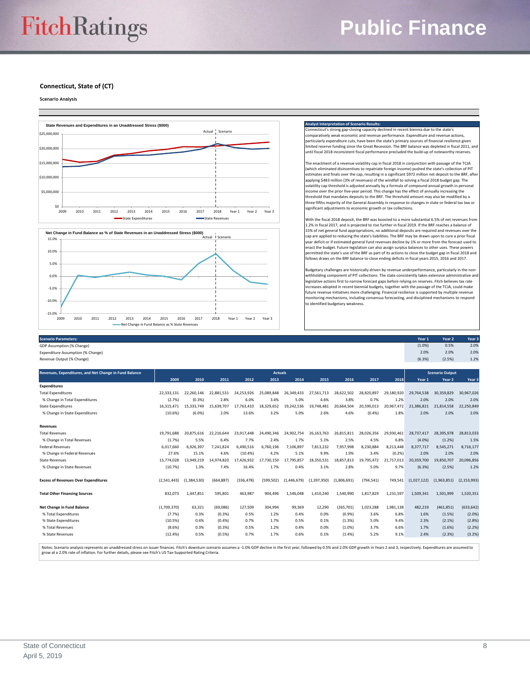# **Public Finance**

**Connecticut, State of (CT)**

**Scenario Analysis**

 $-15.0%$  $-10.0%$ 



| $\leftarrow$ |      |      |      |      |      |      |                                                |      |      |        |        |                   |
|--------------|------|------|------|------|------|------|------------------------------------------------|------|------|--------|--------|-------------------|
| 2009         | 2010 | 2011 | 2012 | 2013 | 2014 | 2015 | 2016                                           | 2017 | 2018 | Year 1 | Year 2 | Year <sub>3</sub> |
|              |      |      |      |      |      |      | Net Change in Fund Balance as % State Revenues |      |      |        |        |                   |

| <b>Scenario Parameters:</b>       | Year 1 | Year 2 | Year <sub>3</sub> |
|-----------------------------------|--------|--------|-------------------|
| GDP Assumption (% Change)         | (1.0%  | 0.5%   | 2.0%              |
| Expenditure Assumption (% Change) | 2.0%   | 2.0%   | 2.0%              |
| Revenue Output (% Change)         | (6.3%  | (2.5%) | 1.2%              |
|                                   |        |        |                   |

to identified budgetary weakness.

| Revenues, Expenditures, and Net Change in Fund Balance | <b>Actuals</b> |             |            |            |            |             |             | <b>Scenario Output</b> |            |            |             |             |               |
|--------------------------------------------------------|----------------|-------------|------------|------------|------------|-------------|-------------|------------------------|------------|------------|-------------|-------------|---------------|
|                                                        | 2009           | 2010        | 2011       | 2012       | 2013       | 2014        | 2015        | 2016                   | 2017       | 2018       | Year 1      | Year 2      | Year 3        |
| <b>Expenditures</b>                                    |                |             |            |            |            |             |             |                        |            |            |             |             |               |
| <b>Total Expenditures</b>                              | 22.333.131     | 22.260.146  | 22.881.531 | 24.253.926 | 25.089.848 | 26.349.433  | 27.561.713  | 28.622.502             | 28.820.897 | 29.180.920 | 29,764.538  | 30.359.829  | 30.967.026    |
| % Change in Total Expenditures                         | (2.7%)         | (0.3%       | 2.8%       | 6.0%       | 3.4%       | 5.0%        | 4.6%        | 3.8%                   | 0.7%       | 1.2%       | 2.0%        | 2.0%        | 2.0%          |
| <b>State Expenditures</b>                              | 16.315.471     | 15.333.749  | 15.639.707 | 17.763.410 | 18.329.652 | 19.242.536  | 19.748.481  | 20.664.504             | 20.590.013 | 20.967.472 | 21.386.821  | 21.814.558  | 22,250,849    |
| % Change in State Expenditures                         | (10.6%)        | (6.0%       | 2.0%       | 13.6%      | 3.2%       | 5.0%        | 2.6%        | 4.6%                   | (0.4%      | 1.8%       | 2.0%        | 2.0%        | 2.0%          |
| <b>Revenues</b>                                        |                |             |            |            |            |             |             |                        |            |            |             |             |               |
| <b>Total Revenues</b>                                  | 19.791.688     | 20.875.616  | 22.216.644 | 23.917.448 | 24.490.346 | 24.902.754  | 26.163.763  | 26.815.811             | 28,026,356 | 29.930.461 | 28.737.417  | 28.395.978  | 28,813,033    |
| % Change in Total Revenues                             | (1.7%)         | 5.5%        | 6.4%       | 7.7%       | 2.4%       | 1.7%        | 5.1%        | 2.5%                   | 4.5%       | 6.8%       | (4.0%       | (1.2%)      | 1.5%          |
| <b>Federal Revenues</b>                                | 6.017.660      | 6.926.397   | 7.241.824  | 6.490.516  | 6.760.196  | 7.106.897   | 7.813.232   | 7.957.998              | 8.230.884  | 8.213.448  | 8.377.717   | 8.545.271   | 8,716,177     |
| % Change in Federal Revenues                           | 27.6%          | 15.1%       | 4.6%       | (10.4%)    | 4.2%       | 5.1%        | 9.9%        | 1.9%                   | 3.4%       | (0.2%      | 2.0%        | 2.0%        | 2.0%          |
| <b>State Revenues</b>                                  | 13.774.028     | 13.949.219  | 14.974.820 | 17.426.932 | 17.730.150 | 17.795.857  | 18,350,531  | 18.857.813             | 19.795.472 | 21.717.013 | 20,359,700  | 19.850.707  | 20,096,856    |
| % Change in State Revenues                             | (10.7%)        | 1.3%        | 7.4%       | 16.4%      | 1.7%       | 0.4%        | 3.1%        | 2.8%                   | 5.0%       | 9.7%       | (6.3%)      | (2.5%)      | 1.2%          |
| <b>Excess of Revenues Over Expenditures</b>            | (2,541,443)    | (1,384,530) | (664, 887) | (336, 478) | (599, 502) | (1,446,679) | (1,397,950) | (1,806,691)            | (794, 541) | 749,541    | (1,027,122) | (1,963,851) | (2, 153, 993) |
| <b>Total Other Financing Sources</b>                   | 832,073        | 1,447,851   | 595,801    | 463,987    | 904.496    | 1.546.048   | 1,410,240   | 1.540.990              | 1.817.829  | 1,231,597  | 1.509.341   | 1,501,999   | 1,520,351     |
| Net Change in Fund Balance                             | (1,709,370)    | 63,321      | (69,086)   | 127,509    | 304,994    | 99,369      | 12,290      | (265, 701)             | 1,023,288  | 1,981,138  | 482,219     | (461, 851)  | (633, 642)    |
| % Total Expenditures                                   | (7.7%)         | 0.3%        | (0.3%      | 0.5%       | 1.2%       | 0.4%        | 0.0%        | (0.9%                  | 3.6%       | 6.8%       | 1.6%        | (1.5%)      | $(2.0\%)$     |
| % State Expenditures                                   | (10.5%)        | 0.4%        | (0.4% )    | 0.7%       | 1.7%       | 0.5%        | 0.1%        | (1.3%)                 | 5.0%       | 9.4%       | 2.3%        | (2.1%)      | (2.8%)        |
| % Total Revenues                                       | (8.6%)         | 0.3%        | (0.3% )    | 0.5%       | 1.2%       | 0.4%        | 0.0%        | (1.0%                  | 3.7%       | 6.6%       | 1.7%        | (1.6%)      | (2.2%)        |
| % State Revenues                                       | (12.4%)        | 0.5%        | (0.5%      | 0.7%       | 1.7%       | 0.6%        | 0.1%        | (1.4% )                | 5.2%       | 9.1%       | 2.4%        | (2.3%)      | (3.2%)        |
|                                                        |                |             |            |            |            |             |             |                        |            |            |             |             |               |

Notes: Scenario analysis represents an unaddressed stress on issuer finances. Fitch's downturn scenario assumes a -1.0% GDP decline in the first year. followed by 0.5% and 2.0% GDP growth in Years 2 and 3, respectively. Ex grow at a 2.0% rate of inflation. For further details, please see Fitch's US Tax-Supported Rating Criteria.